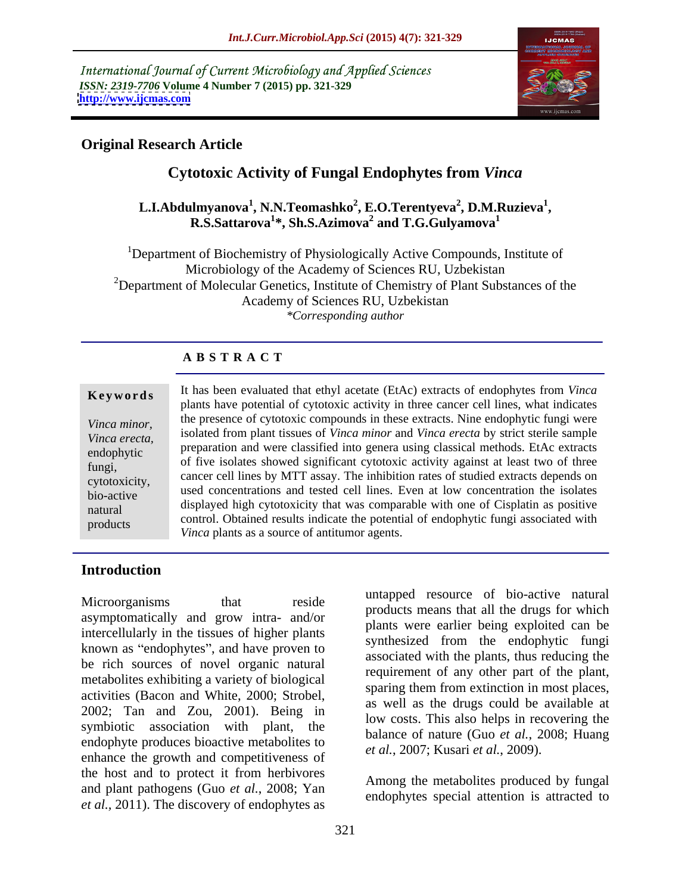International Journal of Current Microbiology and Applied Sciences *ISSN: 2319-7706* **Volume 4 Number 7 (2015) pp. 321-329 <http://www.ijcmas.com>**



## **Original Research Article**

# **Cytotoxic Activity of Fungal Endophytes from** *Vinca*

#### **L.I.Abdulmyanova<sup>1</sup> , N.N.Teomashko<sup>2</sup> , E.O.Terentyeva<sup>2</sup> , D.M.Ruzieva<sup>1</sup>** <sup>1</sup>, N.N.Teomashko<sup>2</sup>, E.O.Terentyeva<sup>2</sup>, D.M.Ruzieva<sup>1</sup>, R.S.Sattarova<sup>1</sup>\*, Sh.S.Azimova<sup>2</sup> and T.G.Gulyamova<sup>1</sup> **and T.G.Gulyamova<sup>1</sup>**

<sup>1</sup>Department of Biochemistry of Physiologically Active Compounds, Institute of Microbiology of the Academy of Sciences RU, Uzbekistan <sup>2</sup>Department of Molecular Genetics, Institute of Chemistry of Plant Substances of the Academy of Sciences RU, Uzbekistan *\*Corresponding author*

#### **A B S T R A C T**

products

**Keywords** It has been evaluated that ethyl acetate (EtAc) extracts of endophytes from *Vinca* plants have potential of cytotoxic activity in three cancer cell lines, what indicates the presence of cytotoxic compounds in these extracts. Nine endophytic fungi were *Vinca minor, vinca erecta,* isolated from plant tissues of *Vinca minor* and *Vinca erecta* by strict sterile sample vinca *erecta*, preparation and were classified into genera using classical methods. EtAc extracts endophytic of five isolates showed significant cytotoxic activity against at least two of three fungi, cancer cell lines by MTT assay. The inhibition rates of studied extracts depends on extotoxicity, used concentrations and tested cell lines. Even at low concentration the isolates bio-active displayed high cytotoxicity that was comparable with one of Cisplatin as positive natural control. Obtained results indicate the potential of endophytic fungi associated with *Vinca* plants as a source of antitumor agents.

#### **Introduction**

Microorganisms that reside analyzed resource of bio-active hatural asymptomatically and grow intra- and/or intercellularly in the tissues of higher plants known as "endophytes", and have proven to be rich sources of novel organic natural metabolites exhibiting a variety of biological activities (Bacon and White, 2000; Strobel, 2002; Tan and Zou, 2001). Being in symbiotic association with plant, the endophyte produces bioactive metabolites to enhance the growth and competitiveness of the host and to protect it from herbivores and plant pathogens (Guo *et al.*, 2008; Yan *et al.,* 2011). The discovery of endophytes as

untapped resource of bio-active natural products means that all the drugs for which plants were earlier being exploited can be synthesized from the endophytic fungi associated with the plants, thus reducing the requirement of any other part of the plant, sparing them from extinction in most places, as well as the drugs could be available at low costs. This also helps in recovering the balance of nature (Guo *et al.*, 2008; Huang *et al.*, 2007; Kusari *et al.*, 2009).

Among the metabolites produced by fungal endophytes special attention is attracted to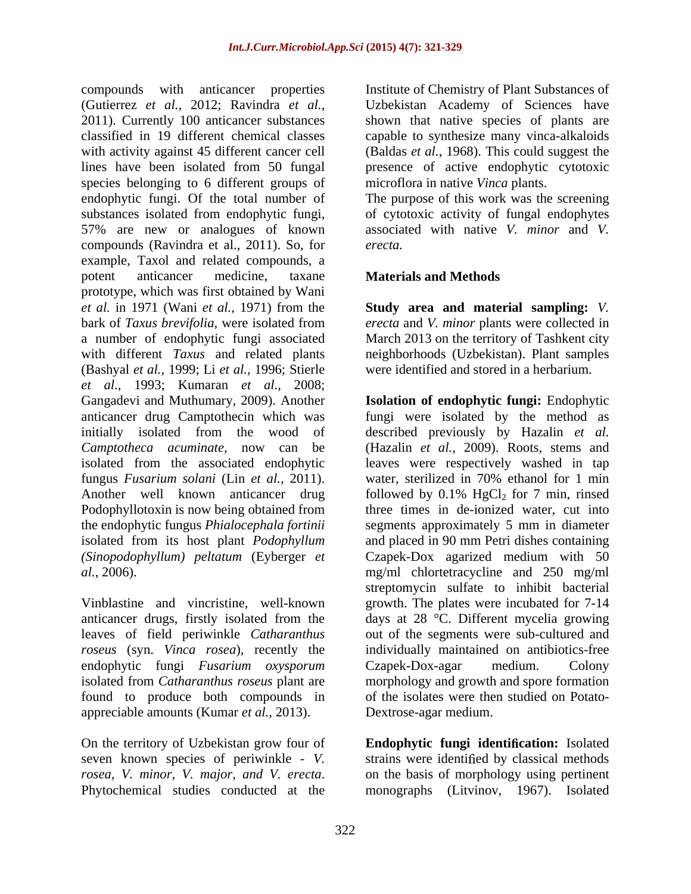compounds with anticancer properties (Gutierrez *et al.*, 2012; Ravindra *et al.*, 2011). Currently <sup>100</sup> anticancer substances classified in 19 different chemical classes capable to synthesize many vinca-alkaloids with activity against 45 different cancer cell (Baldas *et al.*, 1968). This could suggest the lines have been isolated from 50 fungal presence of active endophytic cytotoxic species belonging to 6 different groups of endophytic fungi. Of the total number of The purpose of this work was the screening substances isolated from endophytic fungi, 57% are new or analogues of known compounds (Ravindra et al., 2011). So, for example, Taxol and related compounds, a potent anticancer medicine, taxane **Materials and Methods** prototype, which was first obtained by Wani *et al.* in 1971 (Wani *et al.*, 1971) from the **Study area and material sampling:** *V.*  bark of *Taxus brevifolia*, were isolated from *erecta* and *V. minor* plants were collected in a number of endophytic fungi associated March 2013 on the territory of Tashkent city with different *Taxus* and related plants neighborhoods (Uzbekistan). Plant samples (Bashyal *et al.*, 1999; Li *et al.*, 1996; Stierle *et al.*, 1993; Kumaran *et al.*, 2008; Gangadevi and Muthumary, 2009). Another **Isolation of endophytic fungi:** Endophytic anticancer drug Camptothecin which was fungi were isolated by the method as initially isolated from the wood of described previously by Hazalin *et al. Camptotheca acuminate,* now can be (Hazalin *et al.*, 2009). Roots, stems and isolated from the associated endophytic leaves were respectively washed in tap fungus *Fusarium solani* (Lin *et al.*, 2011). water, sterilized in 70% ethanol for 1 min<br>Another well known anticancer drug followed by 0.1% HgCl<sub>2</sub> for 7 min, rinsed Podophyllotoxin is now being obtained from three times in de-ionized water, cut into the endophytic fungus *Phialocephala fortinii* isolated from its host plant *Podophyllum* and placed in 90 mm Petri dishes containing *(Sinopodophyllum) peltatum* (Eyberger *et*  Czapek-Dox agarized medium with 50

leaves of field periwinkle *Catharanthus roseus* (syn. *Vinca rosea*), recently the endophytic fungi *Fusarium oxysporum* found to produce both compounds in appreciable amounts (Kumar *et al.*, 2013).

Institute of Chemistry of Plant Substances of Uzbekistan Academy of Sciences have shown that native species of plants are microflora in native *Vinca* plants.

of cytotoxic activity of fungal endophytes associated with native *V. minor* and *V. erecta.*

#### **Materials and Methods**

were identified and stored in a herbarium.

*al.*, 2006). mg/ml chlortetracycline and 250 mg/ml Vinblastine and vincristine, well-known growth. The plates were incubated for 7-14 anticancer drugs, firstly isolated from the days at 28 °C. Different mycelia growing isolated from *Catharanthus roseus* plant are morphology and growth and spore formation water, sterilized in 70% ethanol for 1 min followed by  $0.1\%$  HgCl<sub>2</sub> for 7 min, rinsed segments approximately 5 mm in diameter streptomycin sulfate to inhibit bacterial out of the segments were sub-cultured and individually maintained on antibiotics-free Czapek-Dox-agar medium. Colony of the isolates were then studied on Potato- Dextrose-agar medium.

On the territory of Uzbekistan grow four of **Endophytic fungi identification:** Isolated seven known species of periwinkle - *V*. strains were identified by classical methods *rosea, V. minor, V. major, and V. erecta.* on the basis of morphology using pertinent Phytochemical studies conducted at the monographs (Litvinov, 1967). Isolated on the basis of morphology using pertinent monographs (Litvinov, 1967). Isolated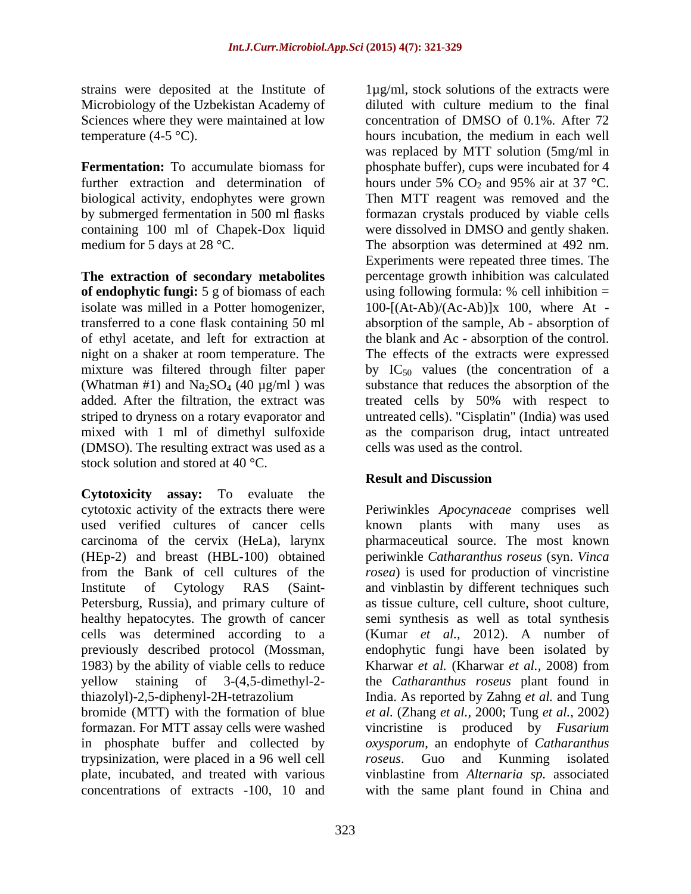strains were deposited at the Institute of 1µg/ml, stock solutions of the extracts were Microbiology of the Uzbekistan Academy of diluted with culture medium to the final Sciences where they were maintained at low concentration of DMSO of 0.1%. After 72

further extraction and determination of hours under 5%  $CO<sub>2</sub>$  and 95% air at 37 °C. containing 100 ml of Chapek-Dox liquid

**The extraction of secondary metabolites of endophytic fungi:** 5 g of biomass of each isolate was milled in a Potter homogenizer, mixed with 1 ml of dimethyl sulfoxide (DMSO). The resulting extract was used as a stock solution and stored at 40 °C.

**Cytotoxicity assay:** To evaluate the cytotoxic activity of the extracts there were Periwinkles *Apocynaceae* comprises well used verified cultures of cancer cells a known plants with many uses as carcinoma of the cervix (HeLa), larynx pharmaceutical source. The most known (HEp-2) and breast (HBL-100) obtained periwinkle *Catharanthus roseus* (syn. *Vinca* from the Bank of cell cultures of the *rosea*) is used for production of vincristine Institute of Cytology RAS (Saint- and vinblastin by different techniques such Petersburg, Russia), and primary culture of as tissue culture, cell culture, shoot culture, healthy hepatocytes. The growth of cancer cells was determined according to a (Kumar *et al.*,2012). A number of previously described protocol (Mossman, 1983) by the ability of viable cells to reduce Kharwar et al. (Kharwar et al., 2008) from yellow staining of 3-(4,5-dimethyl-2- the *Catharanthus roseus* plant found in thiazolyl)-2,5-diphenyl-2H-tetrazolium India. As reported by Zahng *et al.* and Tung bromide (MTT) with the formation of blue *et al.* (Zhang *et al.,* 2000; Tung *et al.*, 2002) formazan. For MTT assay cells were washed vincristine is produced by *Fusarium*  in phosphate buffer and collected by *oxysporum*, an endophyte of *Catharanthus*  trypsinization, were placed in a 96 well cell plate, incubated, and treated with various vinblastine from *Alternaria sp.* associated concentrations of extracts -100, 10 and with the same plant found in China and

temperature (4-5 °C). hours incubation, the medium in each well **Fermentation:** To accumulate biomass for phosphate buffer), cups were incubated for 4 biological activity, endophytes were grown Then MTT reagent was removed and the by submerged fermentation in 500 ml flasks formazan crystals produced by viable cells medium for 5 days at 28 °C. The absorption was determined at 492 nm. transferred to a cone flask containing 50 ml absorption of the sample, Ab - absorption of of ethyl acetate, and left for extraction at the blank and Ac - absorption of the control. night on a shaker at room temperature. The The effects of the extracts were expressed mixture was filtered through filter paper by  $IC_{50}$  values (the concentration of a (Whatman #1) and  $\text{Na}_2\text{SO}_4$  (40  $\mu$ g/ml) was substance that reduces the absorption of the added. After the filtration, the extract was treated cells by 50% with respect to striped to dryness on a rotary evaporator and untreated cells). "Cisplatin" (India) was used diluted with culture medium to the final concentration of DMSO of 0.1%. After 72 was replaced by MTT solution (5mg/ml in hours under 5%  $CO_2$  and 95% air at 37 °C. were dissolved in DMSO and gently shaken. Experiments were repeated three times. The percentage growth inhibition was calculated using following formula:  $%$  cell inhibition  $=$  $100-[(At-Ab)/(Ac-Ab)]x$  100, where At as the comparison drug, intact untreated cells was used as the control.

## **Result and Discussion**

known plants with many uses as semi synthesis as well as total synthesis endophytic fungi have been isolated by Kharwar *et al.* (Kharwar *et al.,* 2008) from *roseus*. Guo and Kunming isolated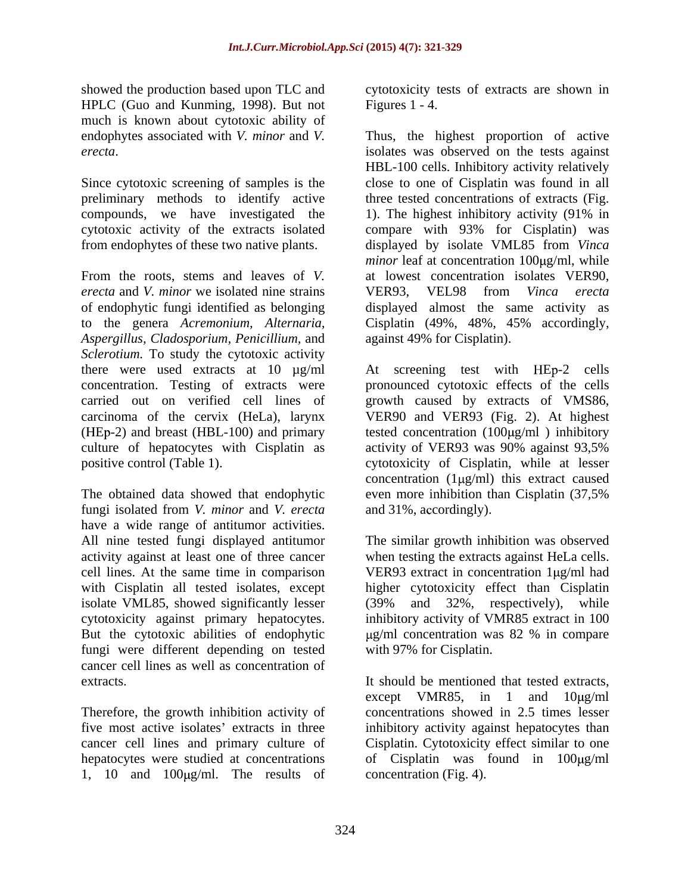showed the production based upon TLC and cytotoxicity tests of extracts are shown in HPLC (Guo and Kunming, 1998). But not Figures 1 - 4. much is known about cytotoxic ability of

Since cytotoxic screening of samples is the preliminary methods to identify active compounds, we have investigated the 1). The highest inhibitory activity (91% in

From the roots, stems and leaves of *V.*  at lowest concentration isolates VER90, *erecta* and *V. minor* we isolated nine strains of endophytic fungi identified as belonging displayed almost the same activity as to the genera *Acremonium, Alternaria,* Cisplatin (49%, 48%, 45% accordingly, *Aspergillus, Cladosporium, Penicillium,* and *Sclerotium.* To study the cytotoxic activity carried out on verified cell lines of growth caused by extracts of VMS86, carcinoma of the cervix (HeLa), larynx VER90 and VER93 (Fig. 2). At highest

The obtained data showed that endophytic even more inhibition than Cisplatin (37,5%) fungi isolated from *V. minor* and *V. erecta* have a wide range of antitumor activities. All nine tested fungi displayed antitumor The similar growth inhibition was observed activity against at least one of three cancer when testing the extracts against HeLa cells. cell lines. At the same time in comparison VER93 extract in concentration 1 µg/ml had with Cisplatin all tested isolates, except higher cytotoxicity effect than Cisplatin isolate VML85, showed significantly lesser (39% and 32%, respectively), while cytotoxicity against primary hepatocytes. But the cytotoxic abilities of endophytic  $\mu$ g/ml concentration was 82 % in compare fungi were different depending on tested cancer cell lines as well as concentration of

1, 10 and  $100\mu\text{g/ml}$ . The results of

Figures 1 - 4.

endophytes associated with *V. minor* and *V.*  Thus, the highest proportion of active *erecta*. isolates was observed on the tests against cytotoxic activity of the extracts isolated compare with 93% for Cisplatin) was from endophytes of these two native plants. displayed by isolate VML85 from *Vinca*  HBL-100 cells. Inhibitory activity relatively close to one of Cisplatin was found in all three tested concentrations of extracts (Fig. 1). The highest inhibitory activity (91% in *minor* leaf at concentration 100µg/ml, while VER93, VEL98 from *Vinca erecta* against 49% for Cisplatin).

there were used extracts at  $10 \mu g/ml$  At screening test with HEp-2 cells concentration. Testing of extracts were pronounced cytotoxic effects of the cells (HEp-2) and breast (HBL-100) and primary tested concentration  $(100\mu g/ml)$  inhibitory culture of hepatocytes with Cisplatin as activity of VER93 was 90% against 93,5% positive control (Table 1). cytotoxicity of Cisplatin, while at lesser growth caused by extracts of VMS86, VER90 and VER93 (Fig. 2). At highest concentration  $(1\mu g/ml)$  this extract caused even more inhibition than Cisplatin (37,5% and 31%, accordingly).

> (39% and 32%, respectively), while inhibitory activity of VMR85 extract in 100 g/ml concentration was 82 % in compare with 97% for Cisplatin.

extracts.<br>
Extracts are the growth inhibition activity of the concentrations showed in 2.5 times lesser<br>
Therefore, the growth inhibition activity of concentrations showed in 2.5 times lesser five most active isolates' extracts in three inhibitory activity against hepatocytes than cancer cell lines and primary culture of Cisplatin. Cytotoxicity effect similar to one hepatocytes were studied at concentrations of Cisplatin was found in 100 µg/ml It should be mentioned that tested extracts, except VMR85, in 1 and  $10\mu\text{g/ml}$ concentrations showed in 2.5 times lesser concentration (Fig. 4).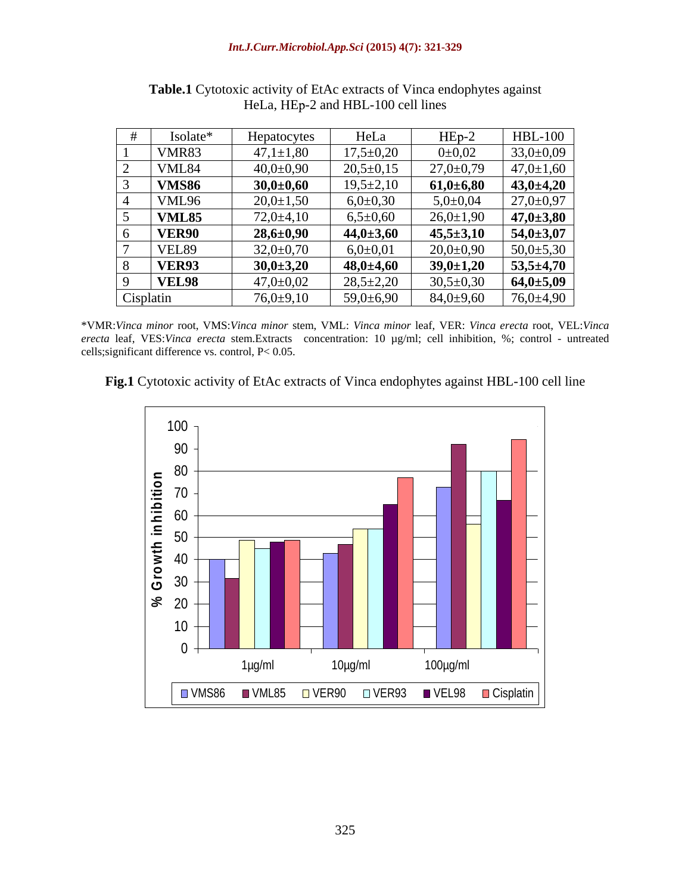#### *Int.J.Curr.Microbiol.App.Sci* **(2015) 4(7): 321-329**

| Isolate*     | <b>Hepatocytes</b> | HeLa            | $HEp-2$             | <b>HBL-100</b>  |
|--------------|--------------------|-----------------|---------------------|-----------------|
| <b>VMR83</b> | $47,1 \pm 1,80$    | $17,5 \pm 0,20$ | 0 <sub>±</sub> 0,02 | $33,0 \pm 0,09$ |
| VML84        | $40,0{\pm}0,90$    | $20,5+0,15$     | $27,0+0,79$         | $47,0{\pm}1,60$ |
| <b>VMS86</b> | $30,0+0,60$        | $19,5 \pm 2,10$ | 61,0:16,80          | $43,0 \pm 4,20$ |
| <b>VML96</b> | $20,0 \pm 1,50$    | $6,0{\pm}0,30$  | $5,0{\pm}0,04$      | $27,0+0,97$     |
| <b>VML85</b> | $72,0+4,10$        | $6,5+0,60$      | $26,0 \pm 1,90$     | $47,0{\pm}3,80$ |
| <b>VER90</b> | $28,6 \pm 0,90$    | $44,0 \pm 3,60$ | $45,5 \pm 3,10$     | $54,0 \pm 3,07$ |
| VEL89        | $32,0+0,70$        | $6,0{\pm}0,01$  | $20,0+0,90$         | $50,0{\pm}5,30$ |
| <b>VER93</b> | $30,0 \pm 3,20$    | $48,0{\pm}4,60$ | $39,0 \pm 1,20$     | $53,5 \pm 4,70$ |
| <b>VEL98</b> | 47,0 $\pm$ 0,02    | $28,5 \pm 2,20$ | $30,5 \pm 0,30$     | $64,0{\pm}5,09$ |
| Cisplatin    | $76,0+9,10$        | $59,0+6,90$     | $84,0{\pm}9,60$     | $76,0 \pm 4,90$ |

**Table.1** Cytotoxic activity of EtAc extracts of Vinca endophytes against HeLa, HEp-2 and HBL-100 cell lines

\*VMR:*Vinca minor* root, VMS:*Vinca minor* stem, VML: *Vinca minor* leaf, VER: *Vinca erecta* root, VEL:*Vinca erecta* leaf, VES:*Vinca erecta* stem.Extracts concentration: 10 µg/ml; cell inhibition, %; control - untreated cells;significant difference vs. control, P< 0.05.

**Fig.1** Cytotoxic activity of EtAc extracts of Vinca endophytes against HBL-100 cell line

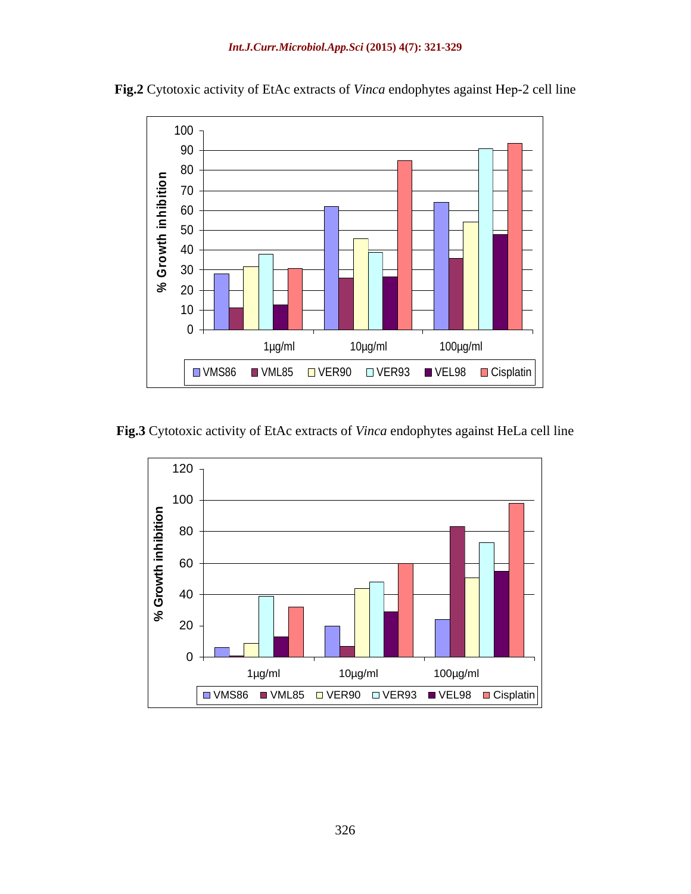

Fig.2 Cytotoxic activity of EtAc extracts of *Vinca* endophytes against Hep-2 cell line

**Fig.3** Cytotoxic activity of EtAc extracts of *Vinca* endophytes against HeLa cell line

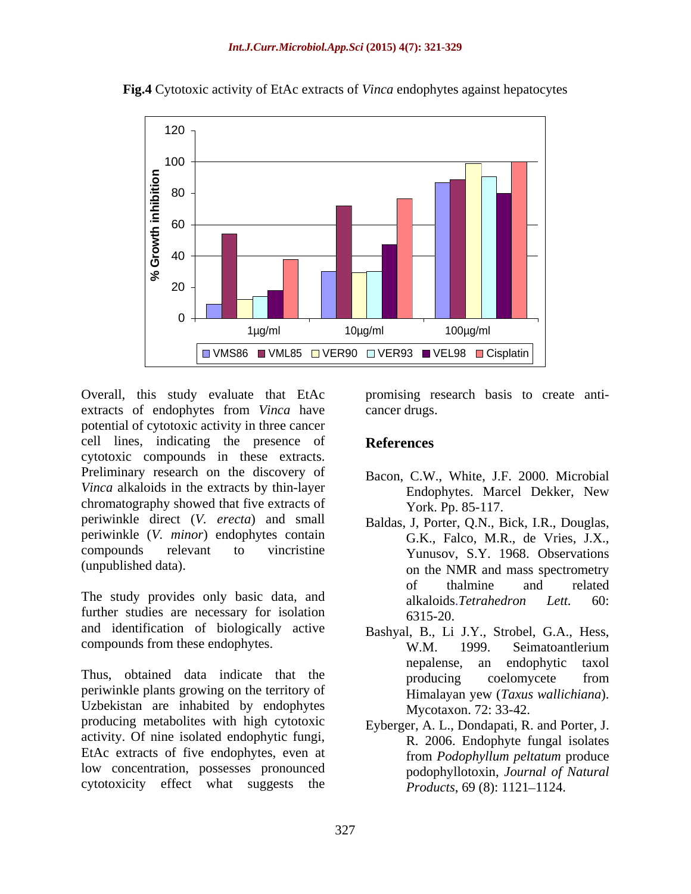

**Fig.4** Cytotoxic activity of EtAc extracts of *Vinca* endophytes against hepatocytes

Overall, this study evaluate that EtAc promising research basis to create anti extracts of endophytes from *Vinca* have cancer drugs. potential of cytotoxic activity in three cancer cell lines, indicating the presence of **References** cytotoxic compounds in these extracts. Preliminary research on the discovery of *Vinca* alkaloids in the extracts by thin-layer **Endophytes**. Marcel Dekker, New chromatography showed that five extracts of periwinkle direct (*V. erecta*) and small periwinkle (*V. minor*) endophytes contain compounds relevant to vincristine Yunusov, S.Y. 1968. Observations

The study provides only basic data, and alkaloids. Tetrahedron Lett. 60: further studies are necessary for isolation 6315-20. and identification of biologically active

periwinkle plants growing on the territory of Uzbekistan are inhabited by endophytes producing metabolites with high cytotoxic activity. Of nine isolated endophytic fungi, EtAc extracts of five endophytes, even at from Podophyllum peltatum produce low concentration, possesses pronounced cytotoxicity effect what suggests the

cancer drugs.

#### **References**

- Bacon, C.W., White, J.F. 2000. Microbial Endophytes. Marcel Dekker, New York. Pp. 85-117.
- (unpublished data). on the NMR and mass spectrometry Baldas, J, Porter, Q.N., Bick, I.R., Douglas, G.K., Falco, M.R., de Vries, J.X., of thalmine and related alkaloids.*Tetrahedron Lett.* 60: 6315-20.
- compounds from these endophytes.<br>
W.M. 1999. Seimatoantlerium Thus, obtained data indicate that the metal producing an endophytic taxol<br>producing coelomycete from Bashyal, B., Li J.Y., Strobel, G.A., Hess, W.M. 1999. Seimatoantlerium nepalense, an endophytic taxol producing coelomycete from Himalayan yew (*Taxus wallichiana*). Mycotaxon. 72: 33-42.
	- Eyberger, A. L., Dondapati, R. and Porter, J. R. 2006. Endophyte fungal isolates from *Podophyllum peltatum* produce podophyllotoxin, *Journal of Natural Products*, 69 (8): 1121–1124.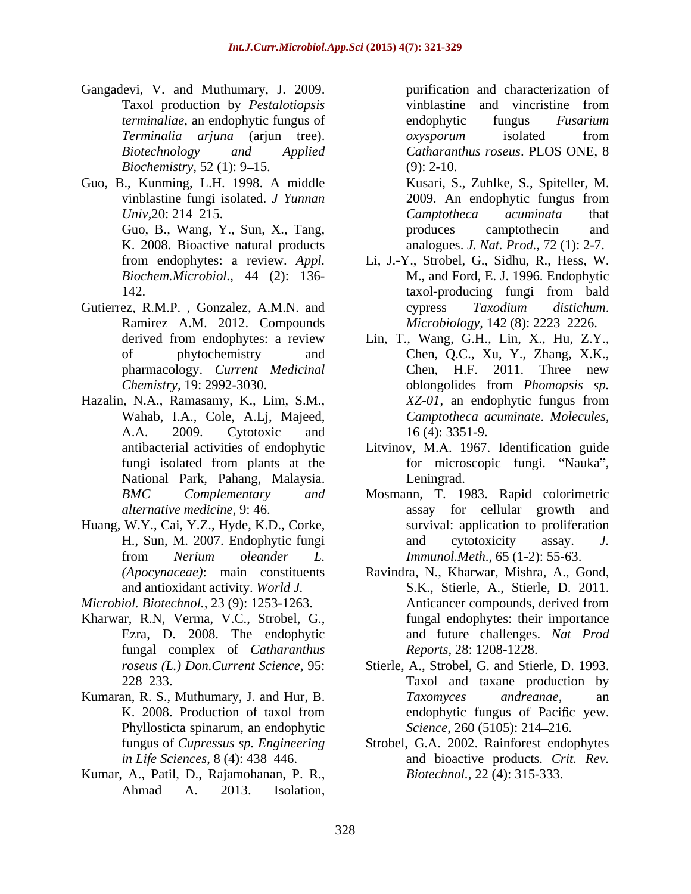- Gangadevi, V. and Muthumary, J. 2009. Taxol production by *Pestalotiopsis terminaliae*, an endophytic fungus of endophytic fungus Fusarium *Terminalia arjuna* (arjun tree). *Biochemistry,* 52 (1): 9–15. (9): 2-10.
- Guo, B., Kunming, L.H. 1998. A middle K. 2008. Bioactive natural products
- Gutierrez, R.M.P., Gonzalez, A.M.N. and  $\qquad \qquad \text{c}$  cypress Taxodium distichum. Ramirez A.M. 2012. Compounds
- Hazalin, N.A., Ramasamy, K., Lim, S.M.,  $XZ-01$ , an endophytic fungus from Wahab, I.A., Cole, A.Lj, Majeed, Camptotheca acuminate. Molecules, National Park, Pahang, Malaysia.
- Huang, W.Y., Cai, Y.Z., Hyde, K.D., Corke,
- 
- Kharwar, R.N, Verma, V.C., Strobel, G., fungal complex of *Catharanthus*
- Phyllosticta spinarum, an endophytic
- Kumar, A., Patil, D., Rajamohanan, P. R., Ahmad A. 2013. Isolation,

*Biotechnology and Applied Catharanthus roseus*. PLOS ONE, 8 purification and characterization of vinblastine and vincristine from endophytic fungus *Fusarium oxysporum* isolated from (9): 2-10.

vinblastine fungi isolated. *J Yunnan Univ,*20: 214–215. Camptotheca acuminata that Guo, B., Wang, Y., Sun, X., Tang, produces camptothecin and Kusari, S., Zuhlke, S., Spiteller, M. 2009. An endophytic fungus from *Camptotheca acuminata* that produces camptothecin and analogues. *J. Nat. Prod.,* 72 (1): 2-7.

- from endophytes: a review.*Appl.*  Li, J.-Y., Strobel, G., Sidhu, R., Hess, W. *Biochem.Microbiol.,* 44 (2): 136- M., and Ford, E. J. 1996. Endophytic 142. taxol-producing fungi from bald taxol-producing fungi from bald cypress *Taxodium distichum*. *Microbiology,* 142 (8): 2223–2226.
- derived from endophytes: a review Lin, T., Wang, G.H., Lin, X., Hu, Z.Y., of phytochemistry and Chen, Q.C., Xu, Y., Zhang, X.K., pharmacology. *Current Medicinal Chemistry,* 19: 2992-3030. Wahab, I.A., Cole, A.Lj, Majeed, *Camptotheca acuminate*. *Molecules,* A.A. 2009. Cytotoxic and Lin, T., Wang, G.H., Lin, X., Hu, Z.Y., Chen, Q.C., Xu, Y., Zhang, X.K., Chen, H.F. 2011. Three new oblongolides from *Phomopsis sp. XZ-01*, an endophytic fungus from 16 (4): 3351-9.
- antibacterial activities of endophytic Litvinov, M.A. 1967. Identification guide fungi isolated from plants at the for microscopic fungi. "Nauka", for microscopic fungi. "Nauka", Leningrad. The contract of the contract of the contract of the contract of the contract of the contract of the contract of the contract of the contract of the contract of the contract of the contract of the contract of the
- *BMC Complementary and* Mosmann, T. 1983. Rapid colorimetric *alternative medicine*, 9: 46. assay for cellular growth and H., Sun, M. 2007. Endophytic fungi and cytotoxicity assay. J. from *Nerium oleander L.* survival: application to proliferation and cytotoxicity assay. *J. Immunol.Meth*., 65 (1-2): 55-63.
- *(Apocynaceae)*: main constituents Ravindra, N., Kharwar, Mishra, A., Gond, and antioxidant activity. *World J.*  S.K., Stierle, A., Stierle, D. 2011. *Microbiol. Biotechnol.,* 23 (9): 1253-1263. Ezra, D. 2008. The endophytic and future challenges. *Nat Prod* Anticancer compounds, derived from fungal endophytes: their importance *Reports,* 28: 1208-1228.
- *roseus (L.) Don.Current Science,* 95: Stierle, A., Strobel, G. and Stierle, D. 1993. 228 233. Taxol and taxane production by Kumaran, R. S., Muthumary, J. and Hur, B. Taxomyces andreanae, an K. 2008. Production of taxol from endophytic fungus of Pacific yew. *Taxomyces andreanae*, an endophytic fungus of Pacific yew. *Science*, 260 (5105): 214-216.
	- fungus of *Cupressus sp. Engineering*  Strobel, G.A. 2002.Rainforest endophytes *in Life Sciences*, 8 (4): 438 446. and bioactive products. *Crit. Rev. Biotechnol.,* 22 (4): 315-333.